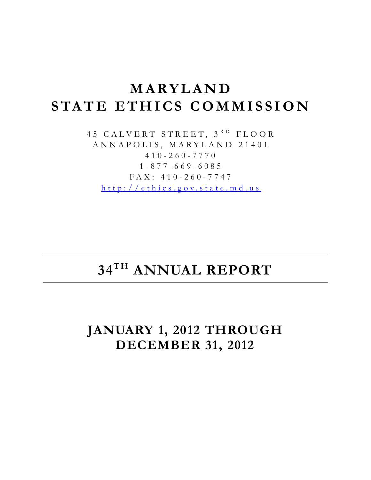# **MARYLAND STATE ETHICS COMMISS ION**

45 CALVERT STREET, 3RD FLOOR ANNAPOLIS, MARYLAND 21401 410 - 260 - 7770 1 - 877 - 669 - 6085 FAX: 410 - 260 - 774 7 [http://ethics.g ov.state.md.us](http://ethics.gov.state.md.us/)

# **34TH ANNUAL REPORT**

# **JANUARY 1, 2012 THROUGH DECEMBER 31, 2012**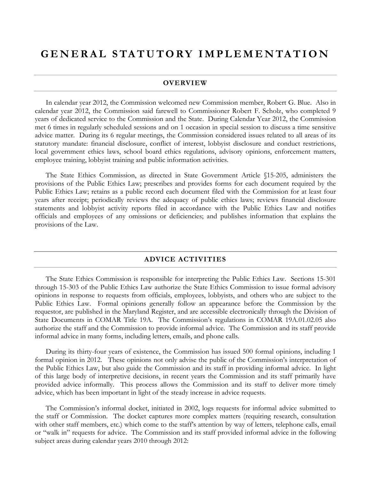# **GENERAL STATUTORY IM PLEMENTATION**

#### **OVERVIEW**

In calendar year 2012, the Commission welcomed new Commission member, Robert G. Blue. Also in calendar year 2012, the Commission said farewell to Commissioner Robert F. Scholz, who completed 9 years of dedicated service to the Commission and the State. During Calendar Year 2012, the Commission met 6 times in regularly scheduled sessions and on 1 occasion in special session to discuss a time sensitive advice matter. During its 6 regular meetings, the Commission considered issues related to all areas of its statutory mandate: financial disclosure, conflict of interest, lobbyist disclosure and conduct restrictions, local government ethics laws, school board ethics regulations, advisory opinions, enforcement matters, employee training, lobbyist training and public information activities.

The State Ethics Commission, as directed in State Government Article §15-205, administers the provisions of the Public Ethics Law; prescribes and provides forms for each document required by the Public Ethics Law; retains as a public record each document filed with the Commission for at least four years after receipt; periodically reviews the adequacy of public ethics laws; reviews financial disclosure statements and lobbyist activity reports filed in accordance with the Public Ethics Law and notifies officials and employees of any omissions or deficiencies; and publishes information that explains the provisions of the Law.

#### **ADVICE ACTIVITIES**

The State Ethics Commission is responsible for interpreting the Public Ethics Law. Sections 15-301 through 15-303 of the Public Ethics Law authorize the State Ethics Commission to issue formal advisory opinions in response to requests from officials, employees, lobbyists, and others who are subject to the Public Ethics Law. Formal opinions generally follow an appearance before the Commission by the requestor, are published in the Maryland Register, and are accessible electronically through the Division of State Documents in COMAR Title 19A. The Commission's regulations in COMAR 19A.01.02.05 also authorize the staff and the Commission to provide informal advice. The Commission and its staff provide informal advice in many forms, including letters, emails, and phone calls.

During its thirty-four years of existence, the Commission has issued 500 formal opinions, including 1 formal opinion in 2012. These opinions not only advise the public of the Commission's interpretation of the Public Ethics Law, but also guide the Commission and its staff in providing informal advice. In light of this large body of interpretive decisions, in recent years the Commission and its staff primarily have provided advice informally. This process allows the Commission and its staff to deliver more timely advice, which has been important in light of the steady increase in advice requests.

The Commission's informal docket, initiated in 2002, logs requests for informal advice submitted to the staff or Commission. The docket captures more complex matters (requiring research, consultation with other staff members, etc.) which come to the staff's attention by way of letters, telephone calls, email or "walk in" requests for advice. The Commission and its staff provided informal advice in the following subject areas during calendar years 2010 through 2012: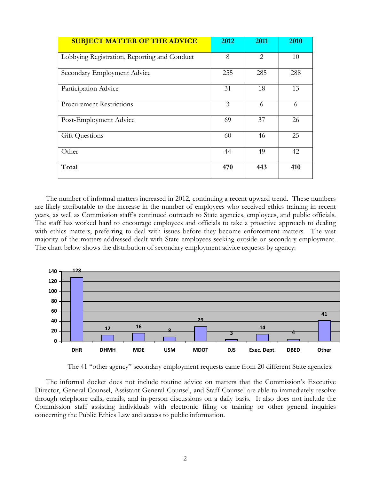| <b>SUBJECT MATTER OF THE ADVICE</b>          | 2012 | 2011           | 2010 |
|----------------------------------------------|------|----------------|------|
| Lobbying Registration, Reporting and Conduct | 8    | $\overline{2}$ | 10   |
| Secondary Employment Advice                  | 255  | 285            | 288  |
| Participation Advice                         | 31   | 18             | 13   |
| <b>Procurement Restrictions</b>              | 3    | 6              | 6    |
| Post-Employment Advice                       | 69   | 37             | 26   |
| <b>Gift Questions</b>                        | 60   | 46             | 25   |
| Other                                        | 44   | 49             | 42   |
| Total                                        | 470  | 443            | 410  |

The number of informal matters increased in 2012, continuing a recent upward trend. These numbers are likely attributable to the increase in the number of employees who received ethics training in recent years, as well as Commission staff's continued outreach to State agencies, employees, and public officials. The staff has worked hard to encourage employees and officials to take a proactive approach to dealing with ethics matters, preferring to deal with issues before they become enforcement matters. The vast majority of the matters addressed dealt with State employees seeking outside or secondary employment. The chart below shows the distribution of secondary employment advice requests by agency:



The 41 "other agency" secondary employment requests came from 20 different State agencies.

The informal docket does not include routine advice on matters that the Commission's Executive Director, General Counsel, Assistant General Counsel, and Staff Counsel are able to immediately resolve through telephone calls, emails, and in-person discussions on a daily basis. It also does not include the Commission staff assisting individuals with electronic filing or training or other general inquiries concerning the Public Ethics Law and access to public information.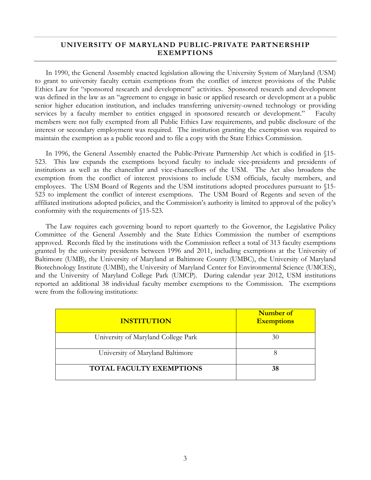#### **UNIVERSITY OF MARYLAND PUBLIC-PRIVATE PARTNERSHIP EXEMPTIONS**

In 1990, the General Assembly enacted legislation allowing the University System of Maryland (USM) to grant to university faculty certain exemptions from the conflict of interest provisions of the Public Ethics Law for "sponsored research and development" activities. Sponsored research and development was defined in the law as an "agreement to engage in basic or applied research or development at a public senior higher education institution, and includes transferring university-owned technology or providing services by a faculty member to entities engaged in sponsored research or development." Faculty members were not fully exempted from all Public Ethics Law requirements, and public disclosure of the interest or secondary employment was required. The institution granting the exemption was required to maintain the exemption as a public record and to file a copy with the State Ethics Commission.

In 1996, the General Assembly enacted the Public-Private Partnership Act which is codified in §15- 523. This law expands the exemptions beyond faculty to include vice-presidents and presidents of institutions as well as the chancellor and vice-chancellors of the USM. The Act also broadens the exemption from the conflict of interest provisions to include USM officials, faculty members, and employees. The USM Board of Regents and the USM institutions adopted procedures pursuant to §15- 523 to implement the conflict of interest exemptions. The USM Board of Regents and seven of the affiliated institutions adopted policies, and the Commission's authority is limited to approval of the policy's conformity with the requirements of §15-523.

The Law requires each governing board to report quarterly to the Governor, the Legislative Policy Committee of the General Assembly and the State Ethics Commission the number of exemptions approved. Records filed by the institutions with the Commission reflect a total of 313 faculty exemptions granted by the university presidents between 1996 and 2011, including exemptions at the University of Baltimore (UMB), the University of Maryland at Baltimore County (UMBC), the University of Maryland Biotechnology Institute (UMBI), the University of Maryland Center for Environmental Science (UMCES), and the University of Maryland College Park (UMCP). During calendar year 2012, USM institutions reported an additional 38 individual faculty member exemptions to the Commission. The exemptions were from the following institutions:

| <b>INSTITUTION</b>                  | <b>Number of</b><br><b>Exemptions</b> |
|-------------------------------------|---------------------------------------|
| University of Maryland College Park |                                       |
| University of Maryland Baltimore    |                                       |
| <b>TOTAL FACULTY EXEMPTIONS</b>     | 38                                    |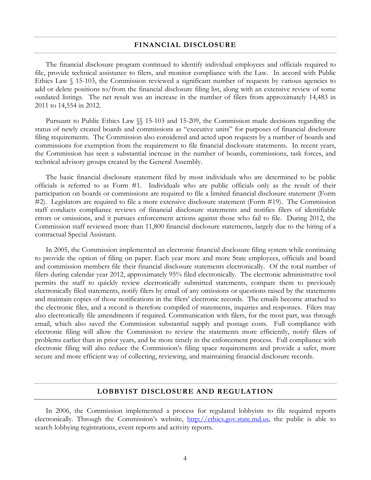#### **FINANCIAL DISCLOSURE**

The financial disclosure program continued to identify individual employees and officials required to file, provide technical assistance to filers, and monitor compliance with the Law. In accord with Public Ethics Law § 15-103, the Commission reviewed a significant number of requests by various agencies to add or delete positions to/from the financial disclosure filing list, along with an extensive review of some outdated listings. The net result was an increase in the number of filers from approximately 14,483 in 2011 to 14,554 in 2012.

Pursuant to Public Ethics Law §§ 15-103 and 15-209, the Commission made decisions regarding the status of newly created boards and commissions as "executive units" for purposes of financial disclosure filing requirements. The Commission also considered and acted upon requests by a number of boards and commissions for exemption from the requirement to file financial disclosure statements. In recent years, the Commission has seen a substantial increase in the number of boards, commissions, task forces, and technical advisory groups created by the General Assembly.

The basic financial disclosure statement filed by most individuals who are determined to be public officials is referred to as Form #1. Individuals who are public officials only as the result of their participation on boards or commissions are required to file a limited financial disclosure statement (Form #2). Legislators are required to file a more extensive disclosure statement (Form #19). The Commission staff conducts compliance reviews of financial disclosure statements and notifies filers of identifiable errors or omissions, and it pursues enforcement actions against those who fail to file. During 2012, the Commission staff reviewed more than 11,800 financial disclosure statements, largely due to the hiring of a contractual Special Assistant.

In 2005, the Commission implemented an electronic financial disclosure filing system while continuing to provide the option of filing on paper. Each year more and more State employees, officials and board and commission members file their financial disclosure statements electronically. Of the total number of filers during calendar year 2012, approximately 95% filed electronically. The electronic administrative tool permits the staff to quickly review electronically submitted statements, compare them to previously electronically filed statements, notify filers by email of any omissions or questions raised by the statements and maintain copies of those notifications in the filers' electronic records. The emails become attached to the electronic files, and a record is therefore compiled of statements, inquiries and responses. Filers may also electronically file amendments if required. Communication with filers, for the most part, was through email, which also saved the Commission substantial supply and postage costs. Full compliance with electronic filing will allow the Commission to review the statements more efficiently, notify filers of problems earlier than in prior years, and be more timely in the enforcement process. Full compliance with electronic filing will also reduce the Commission's filing space requirements and provide a safer, more secure and more efficient way of collecting, reviewing, and maintaining financial disclosure records.

#### **LOBBYIST DISCLOSURE AND REGULATION**

In 2006, the Commission implemented a process for regulated lobbyists to file required reports electronically. Through the Commission's website, [http://ethics.gov.state.md.us,](http://ethics.gov.state.md.us/) the public is able to search lobbying registrations, event reports and activity reports.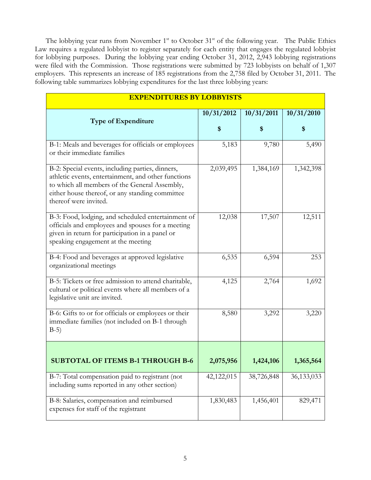The lobbying year runs from November 1<sup>st</sup> to October 31<sup>st</sup> of the following year. The Public Ethics Law requires a regulated lobbyist to register separately for each entity that engages the regulated lobbyist for lobbying purposes. During the lobbying year ending October 31, 2012, 2,943 lobbying registrations were filed with the Commission. Those registrations were submitted by 723 lobbyists on behalf of 1,307 employers. This represents an increase of 185 registrations from the 2,758 filed by October 31, 2011. The following table summarizes lobbying expenditures for the last three lobbying years:

| <b>EXPENDITURES BY LOBBYISTS</b>                                                                                                                                                                                                     |            |            |            |
|--------------------------------------------------------------------------------------------------------------------------------------------------------------------------------------------------------------------------------------|------------|------------|------------|
| <b>Type of Expenditure</b>                                                                                                                                                                                                           | 10/31/2012 | 10/31/2011 | 10/31/2010 |
|                                                                                                                                                                                                                                      | \$         | \$         | \$         |
| B-1: Meals and beverages for officials or employees<br>or their immediate families                                                                                                                                                   | 5,183      | 9,780      | 5,490      |
| B-2: Special events, including parties, dinners,<br>athletic events, entertainment, and other functions<br>to which all members of the General Assembly,<br>either house thereof, or any standing committee<br>thereof were invited. | 2,039,495  | 1,384,169  | 1,342,398  |
| B-3: Food, lodging, and scheduled entertainment of<br>officials and employees and spouses for a meeting<br>given in return for participation in a panel or<br>speaking engagement at the meeting                                     | 12,038     | 17,507     | 12,511     |
| B-4: Food and beverages at approved legislative<br>organizational meetings                                                                                                                                                           | 6,535      | 6,594      | 253        |
| B-5: Tickets or free admission to attend charitable,<br>cultural or political events where all members of a<br>legislative unit are invited.                                                                                         | 4,125      | 2,764      | 1,692      |
| B-6: Gifts to or for officials or employees or their<br>immediate families (not included on B-1 through<br>$B-5)$                                                                                                                    | 8,580      | 3,292      | 3,220      |
| <b>SUBTOTAL OF ITEMS B-1 THROUGH B-6</b>                                                                                                                                                                                             | 2,075,956  | 1,424,106  | 1,365,564  |
| B-7: Total compensation paid to registrant (not<br>including sums reported in any other section)                                                                                                                                     | 42,122,015 | 38,726,848 | 36,133,033 |
| B-8: Salaries, compensation and reimbursed<br>expenses for staff of the registrant                                                                                                                                                   | 1,830,483  | 1,456,401  | 829,471    |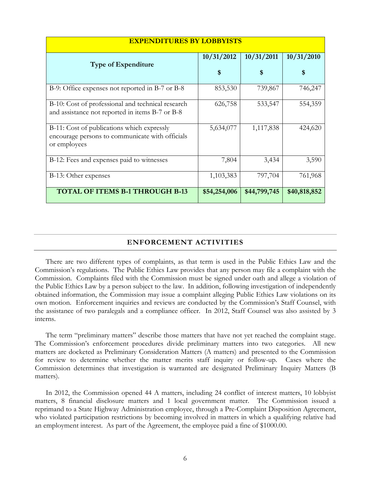| <b>EXPENDITURES BY LOBBYISTS</b>                                                                              |                  |                  |                  |
|---------------------------------------------------------------------------------------------------------------|------------------|------------------|------------------|
| <b>Type of Expenditure</b>                                                                                    | 10/31/2012<br>\$ | 10/31/2011<br>\$ | 10/31/2010<br>\$ |
| B-9: Office expenses not reported in B-7 or B-8                                                               | 853,530          | 739,867          | 746,247          |
| B-10: Cost of professional and technical research<br>and assistance not reported in items B-7 or B-8          | 626,758          | 533,547          | 554,359          |
| B-11: Cost of publications which expressly<br>encourage persons to communicate with officials<br>or employees | 5,634,077        | 1,117,838        | 424,620          |
| B-12: Fees and expenses paid to witnesses                                                                     | 7,804            | 3,434            | 3,590            |
| B-13: Other expenses                                                                                          | 1,103,383        | 797,704          | 761,968          |
| <b>TOTAL OF ITEMS B-1 THROUGH B-13</b>                                                                        | \$54,254,006     | \$44,799,745     | \$40,818,852     |

#### **ENFORCEMENT ACTIVITIES**

There are two different types of complaints, as that term is used in the Public Ethics Law and the Commission's regulations. The Public Ethics Law provides that any person may file a complaint with the Commission. Complaints filed with the Commission must be signed under oath and allege a violation of the Public Ethics Law by a person subject to the law. In addition, following investigation of independently obtained information, the Commission may issue a complaint alleging Public Ethics Law violations on its own motion. Enforcement inquiries and reviews are conducted by the Commission's Staff Counsel, with the assistance of two paralegals and a compliance officer. In 2012, Staff Counsel was also assisted by 3 interns.

The term "preliminary matters" describe those matters that have not yet reached the complaint stage. The Commission's enforcement procedures divide preliminary matters into two categories. All new matters are docketed as Preliminary Consideration Matters (A matters) and presented to the Commission for review to determine whether the matter merits staff inquiry or follow-up. Cases where the Commission determines that investigation is warranted are designated Preliminary Inquiry Matters (B matters).

In 2012, the Commission opened 44 A matters, including 24 conflict of interest matters, 10 lobbyist matters, 8 financial disclosure matters and 1 local government matter. The Commission issued a reprimand to a State Highway Administration employee, through a Pre-Complaint Disposition Agreement, who violated participation restrictions by becoming involved in matters in which a qualifying relative had an employment interest. As part of the Agreement, the employee paid a fine of \$1000.00.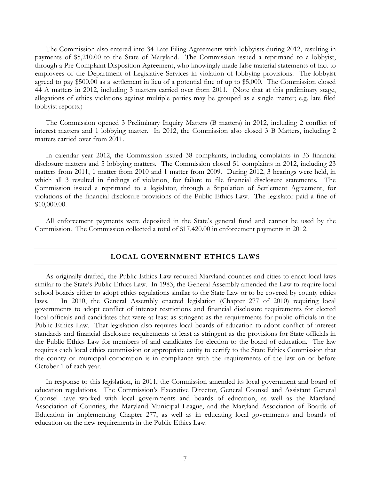The Commission also entered into 34 Late Filing Agreements with lobbyists during 2012, resulting in payments of \$5,210.00 to the State of Maryland. The Commission issued a reprimand to a lobbyist, through a Pre-Complaint Disposition Agreement, who knowingly made false material statements of fact to employees of the Department of Legislative Services in violation of lobbying provisions. The lobbyist agreed to pay \$500.00 as a settlement in lieu of a potential fine of up to \$5,000. The Commission closed 44 A matters in 2012, including 3 matters carried over from 2011. (Note that at this preliminary stage, allegations of ethics violations against multiple parties may be grouped as a single matter; e.g. late filed lobbyist reports.)

The Commission opened 3 Preliminary Inquiry Matters (B matters) in 2012, including 2 conflict of interest matters and 1 lobbying matter. In 2012, the Commission also closed 3 B Matters, including 2 matters carried over from 2011.

In calendar year 2012, the Commission issued 38 complaints, including complaints in 33 financial disclosure matters and 5 lobbying matters. The Commission closed 51 complaints in 2012, including 23 matters from 2011, 1 matter from 2010 and 1 matter from 2009. During 2012, 3 hearings were held, in which all 3 resulted in findings of violation, for failure to file financial disclosure statements. The Commission issued a reprimand to a legislator, through a Stipulation of Settlement Agreement, for violations of the financial disclosure provisions of the Public Ethics Law. The legislator paid a fine of \$10,000.00.

All enforcement payments were deposited in the State's general fund and cannot be used by the Commission. The Commission collected a total of \$17,420.00 in enforcement payments in 2012.

#### **LOCAL GOVERNMENT ETHICS LAWS**

As originally drafted, the Public Ethics Law required Maryland counties and cities to enact local laws similar to the State's Public Ethics Law. In 1983, the General Assembly amended the Law to require local school boards either to adopt ethics regulations similar to the State Law or to be covered by county ethics laws. In 2010, the General Assembly enacted legislation (Chapter 277 of 2010) requiring local governments to adopt conflict of interest restrictions and financial disclosure requirements for elected local officials and candidates that were at least as stringent as the requirements for public officials in the Public Ethics Law. That legislation also requires local boards of education to adopt conflict of interest standards and financial disclosure requirements at least as stringent as the provisions for State officials in the Public Ethics Law for members of and candidates for election to the board of education. The law requires each local ethics commission or appropriate entity to certify to the State Ethics Commission that the county or municipal corporation is in compliance with the requirements of the law on or before October 1 of each year.

In response to this legislation, in 2011, the Commission amended its local government and board of education regulations. The Commission's Executive Director, General Counsel and Assistant General Counsel have worked with local governments and boards of education, as well as the Maryland Association of Counties, the Maryland Municipal League, and the Maryland Association of Boards of Education in implementing Chapter 277, as well as in educating local governments and boards of education on the new requirements in the Public Ethics Law.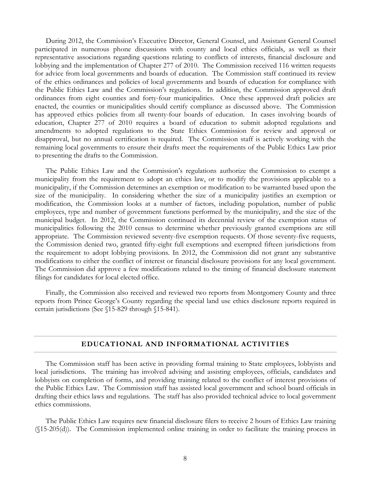During 2012, the Commission's Executive Director, General Counsel, and Assistant General Counsel participated in numerous phone discussions with county and local ethics officials, as well as their representative associations regarding questions relating to conflicts of interests, financial disclosure and lobbying and the implementation of Chapter 277 of 2010. The Commission received 116 written requests for advice from local governments and boards of education. The Commission staff continued its review of the ethics ordinances and policies of local governments and boards of education for compliance with the Public Ethics Law and the Commission's regulations. In addition, the Commission approved draft ordinances from eight counties and forty-four municipalities. Once these approved draft policies are enacted, the counties or municipalities should certify compliance as discussed above. The Commission has approved ethics policies from all twenty-four boards of education. In cases involving boards of education, Chapter 277 of 2010 requires a board of education to submit adopted regulations and amendments to adopted regulations to the State Ethics Commission for review and approval or disapproval, but no annual certification is required. The Commission staff is actively working with the remaining local governments to ensure their drafts meet the requirements of the Public Ethics Law prior to presenting the drafts to the Commission.

The Public Ethics Law and the Commission's regulations authorize the Commission to exempt a municipality from the requirement to adopt an ethics law, or to modify the provisions applicable to a municipality, if the Commission determines an exemption or modification to be warranted based upon the size of the municipality. In considering whether the size of a municipality justifies an exemption or modification, the Commission looks at a number of factors, including population, number of public employees, type and number of government functions performed by the municipality, and the size of the municipal budget. In 2012, the Commission continued its decennial review of the exemption status of municipalities following the 2010 census to determine whether previously granted exemptions are still appropriate. The Commission reviewed seventy-five exemption requests. Of those seventy-five requests, the Commission denied two, granted fifty-eight full exemptions and exempted fifteen jurisdictions from the requirement to adopt lobbying provisions. In 2012, the Commission did not grant any substantive modifications to either the conflict of interest or financial disclosure provisions for any local government. The Commission did approve a few modifications related to the timing of financial disclosure statement filings for candidates for local elected office.

Finally, the Commission also received and reviewed two reports from Montgomery County and three reports from Prince George's County regarding the special land use ethics disclosure reports required in certain jurisdictions (See §15-829 through §15-841).

#### **EDUCATIONAL AND INFORMATIONAL ACTIVITIES**

The Commission staff has been active in providing formal training to State employees, lobbyists and local jurisdictions. The training has involved advising and assisting employees, officials, candidates and lobbyists on completion of forms, and providing training related to the conflict of interest provisions of the Public Ethics Law. The Commission staff has assisted local government and school board officials in drafting their ethics laws and regulations. The staff has also provided technical advice to local government ethics commissions.

The Public Ethics Law requires new financial disclosure filers to receive 2 hours of Ethics Law training (§15-205(d)). The Commission implemented online training in order to facilitate the training process in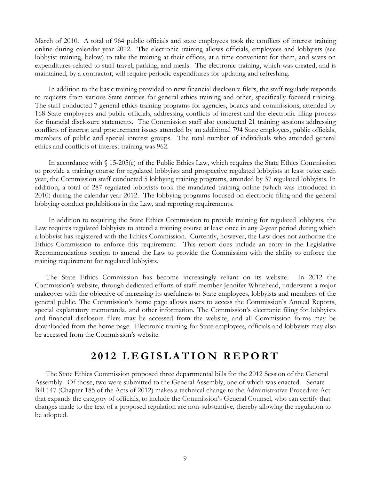March of 2010. A total of 964 public officials and state employees took the conflicts of interest training online during calendar year 2012. The electronic training allows officials, employees and lobbyists (see lobbyist training, below) to take the training at their offices, at a time convenient for them, and saves on expenditures related to staff travel, parking, and meals. The electronic training, which was created, and is maintained, by a contractor, will require periodic expenditures for updating and refreshing.

In addition to the basic training provided to new financial disclosure filers, the staff regularly responds to requests from various State entities for general ethics training and other, specifically focused training. The staff conducted 7 general ethics training programs for agencies, boards and commissions, attended by 168 State employees and public officials, addressing conflicts of interest and the electronic filing process for financial disclosure statements. The Commission staff also conducted 21 training sessions addressing conflicts of interest and procurement issues attended by an additional 794 State employees, public officials, members of public and special interest groups. The total number of individuals who attended general ethics and conflicts of interest training was 962.

In accordance with § 15-205(e) of the Public Ethics Law, which requires the State Ethics Commission to provide a training course for regulated lobbyists and prospective regulated lobbyists at least twice each year, the Commission staff conducted 5 lobbying training programs, attended by 37 regulated lobbyists. In addition, a total of 287 regulated lobbyists took the mandated training online (which was introduced in 2010) during the calendar year 2012. The lobbying programs focused on electronic filing and the general lobbying conduct prohibitions in the Law, and reporting requirements.

In addition to requiring the State Ethics Commission to provide training for regulated lobbyists, the Law requires regulated lobbyists to attend a training course at least once in any 2-year period during which a lobbyist has registered with the Ethics Commission. Currently, however, the Law does not authorize the Ethics Commission to enforce this requirement. This report does include an entry in the Legislative Recommendations section to amend the Law to provide the Commission with the ability to enforce the training requirement for regulated lobbyists.

The State Ethics Commission has become increasingly reliant on its website. In 2012 the Commission's website, through dedicated efforts of staff member Jennifer Whitehead, underwent a major makeover with the objective of increasing its usefulness to State employees, lobbyists and members of the general public. The Commission's home page allows users to access the Commission's Annual Reports, special explanatory memoranda, and other information. The Commission's electronic filing for lobbyists and financial disclosure filers may be accessed from the website, and all Commission forms may be downloaded from the home page. Electronic training for State employees, officials and lobbyists may also be accessed from the Commission's website.

# **201 2 LEGISLATION REPORT**

The State Ethics Commission proposed three departmental bills for the 2012 Session of the General Assembly. Of those, two were submitted to the General Assembly, one of which was enacted. Senate Bill 147 (Chapter 185 of the Acts of 2012) makes a technical change to the Administrative Procedure Act that expands the category of officials, to include the Commission's General Counsel, who can certify that changes made to the text of a proposed regulation are non-substantive, thereby allowing the regulation to be adopted.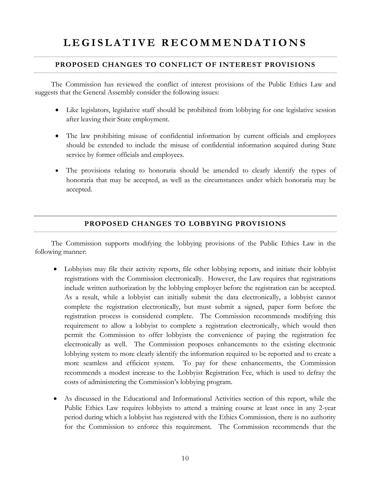# LEGISLATIVE RECOMMENDATIONS

#### **PROPOSED CHANGES TO CONFLICT OF INTEREST PROVISIONS**

The Commission has reviewed the conflict of interest provisions of the Public Ethics Law and suggests that the General Assembly consider the following issues:

- Like legislators, legislative staff should be prohibited from lobbying for one legislative session after leaving their State employment.
- The law prohibiting misuse of confidential information by current officials and employees should be extended to include the misuse of confidential information acquired during State service by former officials and employees.
- The provisions relating to honoraria should be amended to clearly identify the types of honoraria that may be accepted, as well as the circumstances under which honoraria may be accepted.

#### **PROPOSED CHANGES TO LOBBYING PROVISIONS**

The Commission supports modifying the lobbying provisions of the Public Ethics Law in the following manner:

- Lobbyists may file their activity reports, file other lobbying reports, and initiate their lobbyist registrations with the Commission electronically. However, the Law requires that registrations include written authorization by the lobbying employer before the registration can be accepted. As a result, while a lobbyist can initially submit the data electronically, a lobbyist cannot complete the registration electronically, but must submit a signed, paper form before the registration process is considered complete. The Commission recommends modifying this requirement to allow a lobbyist to complete a registration electronically, which would then permit the Commission to offer lobbyists the convenience of paying the registration fee electronically as well. The Commission proposes enhancements to the existing electronic lobbying system to more clearly identify the information required to be reported and to create a more seamless and efficient system. To pay for these enhancements, the Commission recommends a modest increase to the Lobbyist Registration Fee, which is used to defray the costs of administering the Commission's lobbying program.
- As discussed in the Educational and Informational Activities section of this report, while the Public Ethics Law requires lobbyists to attend a training course at least once in any 2-year period during which a lobbyist has registered with the Ethics Commission, there is no authority for the Commission to enforce this requirement. The Commission recommends that the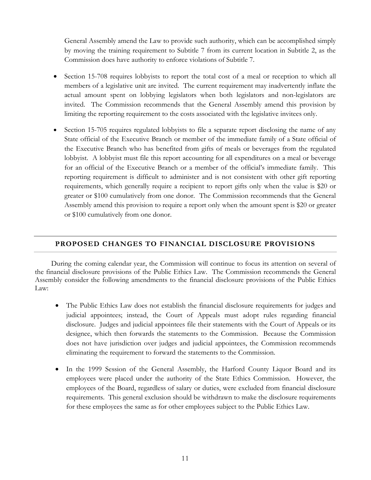General Assembly amend the Law to provide such authority, which can be accomplished simply by moving the training requirement to Subtitle 7 from its current location in Subtitle 2, as the Commission does have authority to enforce violations of Subtitle 7.

- Section 15-708 requires lobbyists to report the total cost of a meal or reception to which all members of a legislative unit are invited. The current requirement may inadvertently inflate the actual amount spent on lobbying legislators when both legislators and non-legislators are invited. The Commission recommends that the General Assembly amend this provision by limiting the reporting requirement to the costs associated with the legislative invitees only.
- Section 15-705 requires regulated lobbyists to file a separate report disclosing the name of any State official of the Executive Branch or member of the immediate family of a State official of the Executive Branch who has benefited from gifts of meals or beverages from the regulated lobbyist. A lobbyist must file this report accounting for all expenditures on a meal or beverage for an official of the Executive Branch or a member of the official's immediate family. This reporting requirement is difficult to administer and is not consistent with other gift reporting requirements, which generally require a recipient to report gifts only when the value is \$20 or greater or \$100 cumulatively from one donor. The Commission recommends that the General Assembly amend this provision to require a report only when the amount spent is \$20 or greater or \$100 cumulatively from one donor.

#### **PROPOSED CHANGES TO FINANCIAL DISCLOSURE PROVISIONS**

During the coming calendar year, the Commission will continue to focus its attention on several of the financial disclosure provisions of the Public Ethics Law. The Commission recommends the General Assembly consider the following amendments to the financial disclosure provisions of the Public Ethics Law:

- The Public Ethics Law does not establish the financial disclosure requirements for judges and judicial appointees; instead, the Court of Appeals must adopt rules regarding financial disclosure. Judges and judicial appointees file their statements with the Court of Appeals or its designee, which then forwards the statements to the Commission. Because the Commission does not have jurisdiction over judges and judicial appointees, the Commission recommends eliminating the requirement to forward the statements to the Commission.
- In the 1999 Session of the General Assembly, the Harford County Liquor Board and its employees were placed under the authority of the State Ethics Commission. However, the employees of the Board, regardless of salary or duties, were excluded from financial disclosure requirements. This general exclusion should be withdrawn to make the disclosure requirements for these employees the same as for other employees subject to the Public Ethics Law.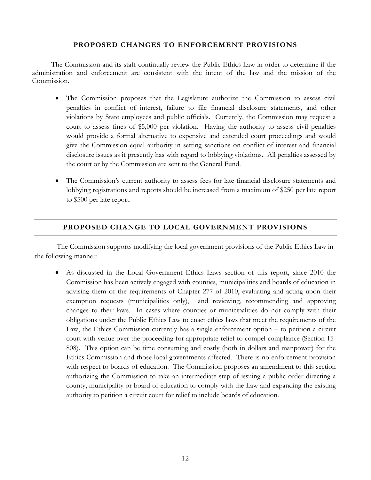#### **PROPOSED CHANGES TO ENFORCEMENT PROVISIONS**

The Commission and its staff continually review the Public Ethics Law in order to determine if the administration and enforcement are consistent with the intent of the law and the mission of the Commission.

- The Commission proposes that the Legislature authorize the Commission to assess civil penalties in conflict of interest, failure to file financial disclosure statements, and other violations by State employees and public officials. Currently, the Commission may request a court to assess fines of \$5,000 per violation. Having the authority to assess civil penalties would provide a formal alternative to expensive and extended court proceedings and would give the Commission equal authority in setting sanctions on conflict of interest and financial disclosure issues as it presently has with regard to lobbying violations. All penalties assessed by the court or by the Commission are sent to the General Fund.
- The Commission's current authority to assess fees for late financial disclosure statements and lobbying registrations and reports should be increased from a maximum of \$250 per late report to \$500 per late report.

#### **PROPOSED CHANGE TO LOCAL GOVERNMENT PROVISIONS**

The Commission supports modifying the local government provisions of the Public Ethics Law in the following manner:

• As discussed in the Local Government Ethics Laws section of this report, since 2010 the Commission has been actively engaged with counties, municipalities and boards of education in advising them of the requirements of Chapter 277 of 2010, evaluating and acting upon their exemption requests (municipalities only), and reviewing, recommending and approving changes to their laws. In cases where counties or municipalities do not comply with their obligations under the Public Ethics Law to enact ethics laws that meet the requirements of the Law, the Ethics Commission currently has a single enforcement option – to petition a circuit court with venue over the proceeding for appropriate relief to compel compliance (Section 15- 808). This option can be time consuming and costly (both in dollars and manpower) for the Ethics Commission and those local governments affected. There is no enforcement provision with respect to boards of education. The Commission proposes an amendment to this section authorizing the Commission to take an intermediate step of issuing a public order directing a county, municipality or board of education to comply with the Law and expanding the existing authority to petition a circuit court for relief to include boards of education.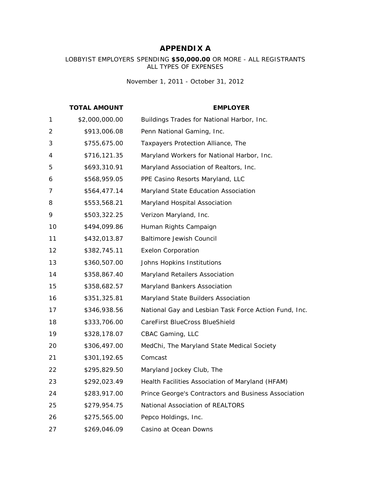# **APPENDIX A**

#### LOBBYIST EMPLOYERS SPENDING **\$50,000.00** OR MORE - ALL REGISTRANTS ALL TYPES OF EXPENSES

*November 1, 2011 - October 31, 2012*

|              | <b>TOTAL AMOUNT</b> | <b>EMPLOYER</b>                                       |
|--------------|---------------------|-------------------------------------------------------|
| $\mathbf{1}$ | \$2,000,000.00      | Buildings Trades for National Harbor, Inc.            |
| 2            | \$913,006.08        | Penn National Gaming, Inc.                            |
| 3            | \$755,675.00        | Taxpayers Protection Alliance, The                    |
| 4            | \$716,121.35        | Maryland Workers for National Harbor, Inc.            |
| 5            | \$693,310.91        | Maryland Association of Realtors, Inc.                |
| 6            | \$568,959.05        | PPE Casino Resorts Maryland, LLC                      |
| 7            | \$564,477.14        | Maryland State Education Association                  |
| 8            | \$553,568.21        | Maryland Hospital Association                         |
| 9            | \$503,322.25        | Verizon Maryland, Inc.                                |
| 10           | \$494,099.86        | Human Rights Campaign                                 |
| 11           | \$432,013.87        | <b>Baltimore Jewish Council</b>                       |
| 12           | \$382,745.11        | <b>Exelon Corporation</b>                             |
| 13           | \$360,507.00        | Johns Hopkins Institutions                            |
| 14           | \$358,867.40        | Maryland Retailers Association                        |
| 15           | \$358,682.57        | Maryland Bankers Association                          |
| 16           | \$351,325.81        | Maryland State Builders Association                   |
| 17           | \$346,938.56        | National Gay and Lesbian Task Force Action Fund, Inc. |
| 18           | \$333,706.00        | CareFirst BlueCross BlueShield                        |
| 19           | \$328,178.07        | CBAC Gaming, LLC                                      |
| 20           | \$306,497.00        | MedChi, The Maryland State Medical Society            |
| 21           | \$301,192.65        | Comcast                                               |
| 22           | \$295,829.50        | Maryland Jockey Club, The                             |
| 23           | \$292,023.49        | Health Facilities Association of Maryland (HFAM)      |
| 24           | \$283,917.00        | Prince George's Contractors and Business Association  |
| 25           | \$279,954.75        | National Association of REALTORS                      |
| 26           | \$275,565.00        | Pepco Holdings, Inc.                                  |
| 27           | \$269,046.09        | Casino at Ocean Downs                                 |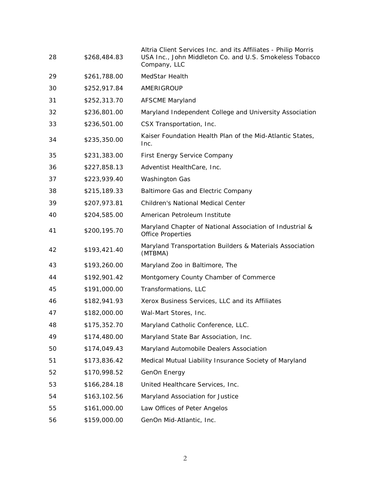|    |              | Altria Client Services Inc. and its Affiliates - Philip Morris                       |
|----|--------------|--------------------------------------------------------------------------------------|
| 28 | \$268,484.83 | USA Inc., John Middleton Co. and U.S. Smokeless Tobacco<br>Company, LLC              |
| 29 | \$261,788.00 | MedStar Health                                                                       |
| 30 | \$252,917.84 | AMERIGROUP                                                                           |
| 31 | \$252,313.70 | <b>AFSCME Maryland</b>                                                               |
| 32 | \$236,801.00 | Maryland Independent College and University Association                              |
| 33 | \$236,501.00 | CSX Transportation, Inc.                                                             |
| 34 | \$235,350.00 | Kaiser Foundation Health Plan of the Mid-Atlantic States,<br>Inc.                    |
| 35 | \$231,383.00 | <b>First Energy Service Company</b>                                                  |
| 36 | \$227,858.13 | Adventist HealthCare, Inc.                                                           |
| 37 | \$223,939.40 | <b>Washington Gas</b>                                                                |
| 38 | \$215,189.33 | Baltimore Gas and Electric Company                                                   |
| 39 | \$207,973.81 | <b>Children's National Medical Center</b>                                            |
| 40 | \$204,585.00 | American Petroleum Institute                                                         |
| 41 | \$200,195.70 | Maryland Chapter of National Association of Industrial &<br><b>Office Properties</b> |
| 42 | \$193,421.40 | Maryland Transportation Builders & Materials Association<br>(MTBMA)                  |
| 43 | \$193,260.00 | Maryland Zoo in Baltimore, The                                                       |
| 44 | \$192,901.42 | Montgomery County Chamber of Commerce                                                |
| 45 | \$191,000.00 | Transformations, LLC                                                                 |
| 46 | \$182,941.93 | Xerox Business Services, LLC and its Affiliates                                      |
| 47 | \$182,000.00 | Wal-Mart Stores, Inc.                                                                |
| 48 | \$175,352.70 | Maryland Catholic Conference, LLC.                                                   |
| 49 | \$174,480.00 | Maryland State Bar Association, Inc.                                                 |
| 50 | \$174,049.43 | Maryland Automobile Dealers Association                                              |
| 51 | \$173,836.42 | Medical Mutual Liability Insurance Society of Maryland                               |
| 52 | \$170,998.52 | GenOn Energy                                                                         |
| 53 | \$166,284.18 | United Healthcare Services, Inc.                                                     |
| 54 | \$163,102.56 | Maryland Association for Justice                                                     |
| 55 | \$161,000.00 | Law Offices of Peter Angelos                                                         |
| 56 | \$159,000.00 | GenOn Mid-Atlantic, Inc.                                                             |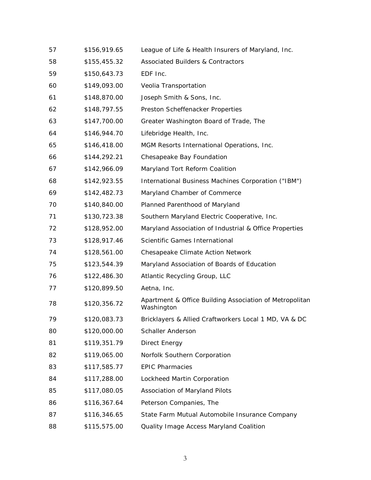| 57 | \$156,919.65 | League of Life & Health Insurers of Maryland, Inc.                    |
|----|--------------|-----------------------------------------------------------------------|
| 58 | \$155,455.32 | <b>Associated Builders &amp; Contractors</b>                          |
| 59 | \$150,643.73 | EDF Inc.                                                              |
| 60 | \$149,093.00 | Veolia Transportation                                                 |
| 61 | \$148,870.00 | Joseph Smith & Sons, Inc.                                             |
| 62 | \$148,797.55 | Preston Scheffenacker Properties                                      |
| 63 | \$147,700.00 | Greater Washington Board of Trade, The                                |
| 64 | \$146,944.70 | Lifebridge Health, Inc.                                               |
| 65 | \$146,418.00 | MGM Resorts International Operations, Inc.                            |
| 66 | \$144,292.21 | Chesapeake Bay Foundation                                             |
| 67 | \$142,966.09 | Maryland Tort Reform Coalition                                        |
| 68 | \$142,923.55 | International Business Machines Corporation ("IBM")                   |
| 69 | \$142,482.73 | Maryland Chamber of Commerce                                          |
| 70 | \$140,840.00 | Planned Parenthood of Maryland                                        |
| 71 | \$130,723.38 | Southern Maryland Electric Cooperative, Inc.                          |
| 72 | \$128,952.00 | Maryland Association of Industrial & Office Properties                |
| 73 | \$128,917.46 | Scientific Games International                                        |
| 74 | \$128,561.00 | Chesapeake Climate Action Network                                     |
| 75 | \$123,544.39 | Maryland Association of Boards of Education                           |
| 76 | \$122,486.30 | Atlantic Recycling Group, LLC                                         |
| 77 | \$120,899.50 | Aetna, Inc.                                                           |
| 78 | \$120,356.72 | Apartment & Office Building Association of Metropolitan<br>Washington |
| 79 | \$120,083.73 | Bricklayers & Allied Craftworkers Local 1 MD, VA & DC                 |
| 80 | \$120,000.00 | <b>Schaller Anderson</b>                                              |
| 81 | \$119,351.79 | Direct Energy                                                         |
| 82 | \$119,065.00 | Norfolk Southern Corporation                                          |
| 83 | \$117,585.77 | <b>EPIC Pharmacies</b>                                                |
| 84 | \$117,288.00 | Lockheed Martin Corporation                                           |
| 85 | \$117,080.05 | Association of Maryland Pilots                                        |
| 86 | \$116,367.64 | Peterson Companies, The                                               |
| 87 | \$116,346.65 | State Farm Mutual Automobile Insurance Company                        |
| 88 | \$115,575.00 | Quality Image Access Maryland Coalition                               |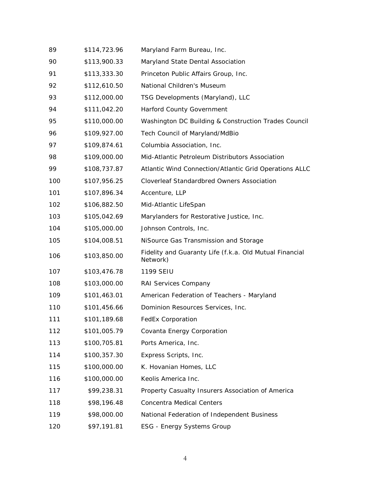| 89  | \$114,723.96 | Maryland Farm Bureau, Inc.                                          |
|-----|--------------|---------------------------------------------------------------------|
| 90  | \$113,900.33 | Maryland State Dental Association                                   |
| 91  | \$113,333.30 | Princeton Public Affairs Group, Inc.                                |
| 92  | \$112,610.50 | National Children's Museum                                          |
| 93  | \$112,000.00 | TSG Developments (Maryland), LLC                                    |
| 94  | \$111,042.20 | Harford County Government                                           |
| 95  | \$110,000.00 | Washington DC Building & Construction Trades Council                |
| 96  | \$109,927.00 | Tech Council of Maryland/MdBio                                      |
| 97  | \$109,874.61 | Columbia Association, Inc.                                          |
| 98  | \$109,000.00 | Mid-Atlantic Petroleum Distributors Association                     |
| 99  | \$108,737.87 | Atlantic Wind Connection/Atlantic Grid Operations ALLC              |
| 100 | \$107,956.25 | Cloverleaf Standardbred Owners Association                          |
| 101 | \$107,896.34 | Accenture, LLP                                                      |
| 102 | \$106,882.50 | Mid-Atlantic LifeSpan                                               |
| 103 | \$105,042.69 | Marylanders for Restorative Justice, Inc.                           |
| 104 | \$105,000.00 | Johnson Controls, Inc.                                              |
| 105 | \$104,008.51 | NiSource Gas Transmission and Storage                               |
| 106 | \$103,850.00 | Fidelity and Guaranty Life (f.k.a. Old Mutual Financial<br>Network) |
| 107 | \$103,476.78 | 1199 SEIU                                                           |
| 108 | \$103,000.00 | RAI Services Company                                                |
| 109 | \$101,463.01 | American Federation of Teachers - Maryland                          |
| 110 | \$101,456.66 | Dominion Resources Services, Inc.                                   |
| 111 | \$101,189.68 | <b>FedEx Corporation</b>                                            |
| 112 | \$101,005.79 | Covanta Energy Corporation                                          |
| 113 | \$100,705.81 | Ports America, Inc.                                                 |
| 114 | \$100,357.30 | Express Scripts, Inc.                                               |
| 115 | \$100,000.00 | K. Hovanian Homes, LLC                                              |
| 116 | \$100,000.00 | Keolis America Inc.                                                 |
| 117 | \$99,238.31  | Property Casualty Insurers Association of America                   |
| 118 | \$98,196.48  | <b>Concentra Medical Centers</b>                                    |
| 119 | \$98,000.00  | National Federation of Independent Business                         |
| 120 | \$97,191.81  | ESG - Energy Systems Group                                          |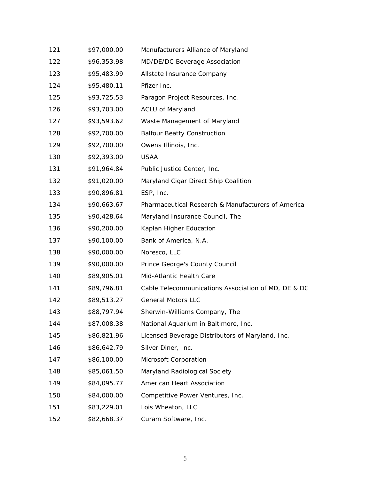| 121 | \$97,000.00 | Manufacturers Alliance of Maryland                  |
|-----|-------------|-----------------------------------------------------|
| 122 | \$96,353.98 | MD/DE/DC Beverage Association                       |
| 123 | \$95,483.99 | Allstate Insurance Company                          |
| 124 | \$95,480.11 | Pfizer Inc.                                         |
| 125 | \$93,725.53 | Paragon Project Resources, Inc.                     |
| 126 | \$93,703.00 | <b>ACLU of Maryland</b>                             |
| 127 | \$93,593.62 | Waste Management of Maryland                        |
| 128 | \$92,700.00 | <b>Balfour Beatty Construction</b>                  |
| 129 | \$92,700.00 | Owens Illinois, Inc.                                |
| 130 | \$92,393.00 | <b>USAA</b>                                         |
| 131 | \$91,964.84 | Public Justice Center, Inc.                         |
| 132 | \$91,020.00 | Maryland Cigar Direct Ship Coalition                |
| 133 | \$90,896.81 | ESP, Inc.                                           |
| 134 | \$90,663.67 | Pharmaceutical Research & Manufacturers of America  |
| 135 | \$90,428.64 | Maryland Insurance Council, The                     |
| 136 | \$90,200.00 | Kaplan Higher Education                             |
| 137 | \$90,100.00 | Bank of America, N.A.                               |
| 138 | \$90,000.00 | Noresco, LLC                                        |
| 139 | \$90,000.00 | Prince George's County Council                      |
| 140 | \$89,905.01 | Mid-Atlantic Health Care                            |
| 141 | \$89,796.81 | Cable Telecommunications Association of MD, DE & DC |
| 142 | \$89,513.27 | <b>General Motors LLC</b>                           |
| 143 | \$88,797.94 | Sherwin-Williams Company, The                       |
| 144 | \$87,008.38 | National Aquarium in Baltimore, Inc.                |
| 145 | \$86,821.96 | Licensed Beverage Distributors of Maryland, Inc.    |
| 146 | \$86,642.79 | Silver Diner, Inc.                                  |
| 147 | \$86,100.00 | Microsoft Corporation                               |
| 148 | \$85,061.50 | Maryland Radiological Society                       |
| 149 | \$84,095.77 | American Heart Association                          |
| 150 | \$84,000.00 | Competitive Power Ventures, Inc.                    |
| 151 | \$83,229.01 | Lois Wheaton, LLC                                   |
| 152 | \$82,668.37 | Curam Software, Inc.                                |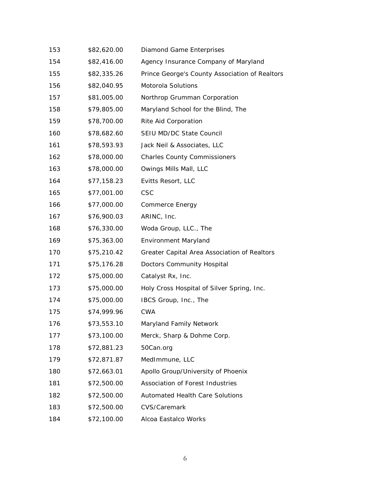| 153 | \$82,620.00 | Diamond Game Enterprises                       |
|-----|-------------|------------------------------------------------|
| 154 | \$82,416.00 | Agency Insurance Company of Maryland           |
| 155 | \$82,335.26 | Prince George's County Association of Realtors |
| 156 | \$82,040.95 | Motorola Solutions                             |
| 157 | \$81,005.00 | Northrop Grumman Corporation                   |
| 158 | \$79,805.00 | Maryland School for the Blind, The             |
| 159 | \$78,700.00 | Rite Aid Corporation                           |
| 160 | \$78,682.60 | SEIU MD/DC State Council                       |
| 161 | \$78,593.93 | Jack Neil & Associates, LLC                    |
| 162 | \$78,000.00 | <b>Charles County Commissioners</b>            |
| 163 | \$78,000.00 | Owings Mills Mall, LLC                         |
| 164 | \$77,158.23 | Evitts Resort, LLC                             |
| 165 | \$77,001.00 | <b>CSC</b>                                     |
| 166 | \$77,000.00 | Commerce Energy                                |
| 167 | \$76,900.03 | ARINC, Inc.                                    |
| 168 | \$76,330.00 | Woda Group, LLC., The                          |
| 169 | \$75,363.00 | <b>Environment Maryland</b>                    |
| 170 | \$75,210.42 | Greater Capital Area Association of Realtors   |
| 171 | \$75,176.28 | Doctors Community Hospital                     |
| 172 | \$75,000.00 | Catalyst Rx, Inc.                              |
| 173 | \$75,000.00 | Holy Cross Hospital of Silver Spring, Inc.     |
| 174 | \$75,000.00 | IBCS Group, Inc., The                          |
| 175 | \$74,999.96 | <b>CWA</b>                                     |
| 176 | \$73,553.10 | Maryland Family Network                        |
| 177 | \$73,100.00 | Merck, Sharp & Dohme Corp.                     |
| 178 | \$72,881.23 | 50Can.org                                      |
| 179 | \$72,871.87 | MedImmune, LLC                                 |
| 180 | \$72,663.01 | Apollo Group/University of Phoenix             |
| 181 | \$72,500.00 | Association of Forest Industries               |
| 182 | \$72,500.00 | <b>Automated Health Care Solutions</b>         |
| 183 | \$72,500.00 | CVS/Caremark                                   |
| 184 | \$72,100.00 | Alcoa Eastalco Works                           |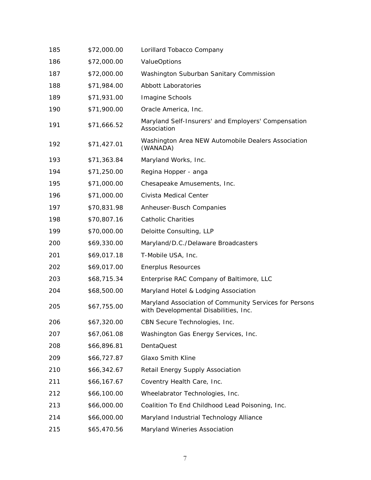| 185 | \$72,000.00 | Lorillard Tobacco Company                                                                       |
|-----|-------------|-------------------------------------------------------------------------------------------------|
| 186 | \$72,000.00 | <b>ValueOptions</b>                                                                             |
| 187 | \$72,000.00 | Washington Suburban Sanitary Commission                                                         |
| 188 | \$71,984.00 | <b>Abbott Laboratories</b>                                                                      |
| 189 | \$71,931.00 | Imagine Schools                                                                                 |
| 190 | \$71,900.00 | Oracle America, Inc.                                                                            |
| 191 | \$71,666.52 | Maryland Self-Insurers' and Employers' Compensation<br>Association                              |
| 192 | \$71,427.01 | Washington Area NEW Automobile Dealers Association<br>(WANADA)                                  |
| 193 | \$71,363.84 | Maryland Works, Inc.                                                                            |
| 194 | \$71,250.00 | Regina Hopper - anga                                                                            |
| 195 | \$71,000.00 | Chesapeake Amusements, Inc.                                                                     |
| 196 | \$71,000.00 | Civista Medical Center                                                                          |
| 197 | \$70,831.98 | Anheuser-Busch Companies                                                                        |
| 198 | \$70,807.16 | <b>Catholic Charities</b>                                                                       |
| 199 | \$70,000.00 | Deloitte Consulting, LLP                                                                        |
| 200 | \$69,330.00 | Maryland/D.C./Delaware Broadcasters                                                             |
| 201 | \$69,017.18 | T-Mobile USA, Inc.                                                                              |
| 202 | \$69,017.00 | <b>Enerplus Resources</b>                                                                       |
| 203 | \$68,715.34 | Enterprise RAC Company of Baltimore, LLC                                                        |
| 204 | \$68,500.00 | Maryland Hotel & Lodging Association                                                            |
| 205 | \$67,755.00 | Maryland Association of Community Services for Persons<br>with Developmental Disabilities, Inc. |
| 206 | \$67,320.00 | CBN Secure Technologies, Inc.                                                                   |
| 207 | \$67,061.08 | Washington Gas Energy Services, Inc.                                                            |
| 208 | \$66,896.81 | DentaQuest                                                                                      |
| 209 | \$66,727.87 | Glaxo Smith Kline                                                                               |
| 210 | \$66,342.67 | Retail Energy Supply Association                                                                |
| 211 | \$66,167.67 | Coventry Health Care, Inc.                                                                      |
| 212 | \$66,100.00 | Wheelabrator Technologies, Inc.                                                                 |
| 213 | \$66,000.00 | Coalition To End Childhood Lead Poisoning, Inc.                                                 |
| 214 | \$66,000.00 | Maryland Industrial Technology Alliance                                                         |
| 215 | \$65,470.56 | Maryland Wineries Association                                                                   |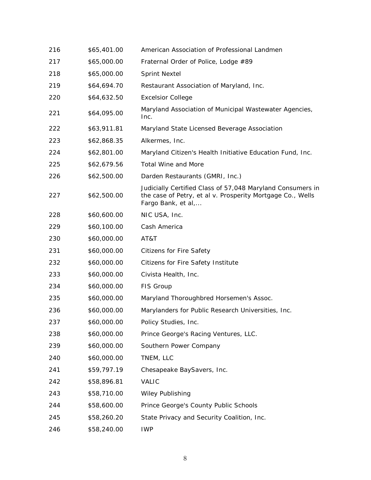| 216 | \$65,401.00 | American Association of Professional Landmen                                                                                                   |
|-----|-------------|------------------------------------------------------------------------------------------------------------------------------------------------|
| 217 | \$65,000.00 | Fraternal Order of Police, Lodge #89                                                                                                           |
| 218 | \$65,000.00 | <b>Sprint Nextel</b>                                                                                                                           |
| 219 | \$64,694.70 | Restaurant Association of Maryland, Inc.                                                                                                       |
| 220 | \$64,632.50 | <b>Excelsior College</b>                                                                                                                       |
| 221 | \$64,095.00 | Maryland Association of Municipal Wastewater Agencies,<br>Inc.                                                                                 |
| 222 | \$63,911.81 | Maryland State Licensed Beverage Association                                                                                                   |
| 223 | \$62,868.35 | Alkermes, Inc.                                                                                                                                 |
| 224 | \$62,801.00 | Maryland Citizen's Health Initiative Education Fund, Inc.                                                                                      |
| 225 | \$62,679.56 | <b>Total Wine and More</b>                                                                                                                     |
| 226 | \$62,500.00 | Darden Restaurants (GMRI, Inc.)                                                                                                                |
| 227 | \$62,500.00 | Judicially Certified Class of 57,048 Maryland Consumers in<br>the case of Petry, et al v. Prosperity Mortgage Co., Wells<br>Fargo Bank, et al, |
| 228 | \$60,600.00 | NIC USA, Inc.                                                                                                                                  |
| 229 | \$60,100.00 | Cash America                                                                                                                                   |
| 230 | \$60,000.00 | AT&T                                                                                                                                           |
| 231 | \$60,000.00 | <b>Citizens for Fire Safety</b>                                                                                                                |
| 232 | \$60,000.00 | Citizens for Fire Safety Institute                                                                                                             |
| 233 | \$60,000.00 | Civista Health, Inc.                                                                                                                           |
| 234 | \$60,000.00 | FIS Group                                                                                                                                      |
| 235 | \$60,000.00 | Maryland Thoroughbred Horsemen's Assoc.                                                                                                        |
| 236 | \$60,000.00 | Marylanders for Public Research Universities, Inc.                                                                                             |
| 237 | \$60,000.00 | Policy Studies, Inc.                                                                                                                           |
| 238 | \$60,000.00 | Prince George's Racing Ventures, LLC.                                                                                                          |
| 239 | \$60,000.00 | Southern Power Company                                                                                                                         |
| 240 | \$60,000.00 | TNEM, LLC                                                                                                                                      |
| 241 | \$59,797.19 | Chesapeake BaySavers, Inc.                                                                                                                     |
| 242 | \$58,896.81 | <b>VALIC</b>                                                                                                                                   |
| 243 | \$58,710.00 | <b>Wiley Publishing</b>                                                                                                                        |
| 244 | \$58,600.00 | Prince George's County Public Schools                                                                                                          |
| 245 | \$58,260.20 | State Privacy and Security Coalition, Inc.                                                                                                     |
| 246 | \$58,240.00 | <b>IWP</b>                                                                                                                                     |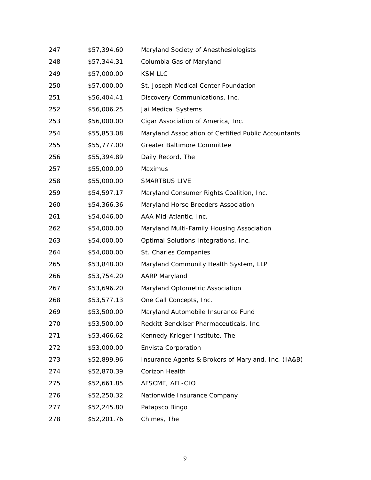| 247 | \$57,394.60 | Maryland Society of Anesthesiologists                |
|-----|-------------|------------------------------------------------------|
| 248 | \$57,344.31 | Columbia Gas of Maryland                             |
| 249 | \$57,000.00 | <b>KSM LLC</b>                                       |
| 250 | \$57,000.00 | St. Joseph Medical Center Foundation                 |
| 251 | \$56,404.41 | Discovery Communications, Inc.                       |
| 252 | \$56,006.25 | Jai Medical Systems                                  |
| 253 | \$56,000.00 | Cigar Association of America, Inc.                   |
| 254 | \$55,853.08 | Maryland Association of Certified Public Accountants |
| 255 | \$55,777.00 | <b>Greater Baltimore Committee</b>                   |
| 256 | \$55,394.89 | Daily Record, The                                    |
| 257 | \$55,000.00 | Maximus                                              |
| 258 | \$55,000.00 | <b>SMARTBUS LIVE</b>                                 |
| 259 | \$54,597.17 | Maryland Consumer Rights Coalition, Inc.             |
| 260 | \$54,366.36 | Maryland Horse Breeders Association                  |
| 261 | \$54,046.00 | AAA Mid-Atlantic, Inc.                               |
| 262 | \$54,000.00 | Maryland Multi-Family Housing Association            |
| 263 | \$54,000.00 | Optimal Solutions Integrations, Inc.                 |
| 264 | \$54,000.00 | St. Charles Companies                                |
| 265 | \$53,848.00 | Maryland Community Health System, LLP                |
| 266 | \$53,754.20 | <b>AARP Maryland</b>                                 |
| 267 | \$53,696.20 | Maryland Optometric Association                      |
| 268 | \$53,577.13 | One Call Concepts, Inc.                              |
| 269 | \$53,500.00 | Maryland Automobile Insurance Fund                   |
| 270 | \$53,500.00 | Reckitt Benckiser Pharmaceuticals, Inc.              |
| 271 | \$53,466.62 | Kennedy Krieger Institute, The                       |
| 272 | \$53,000.00 | Envista Corporation                                  |
| 273 | \$52,899.96 | Insurance Agents & Brokers of Maryland, Inc. (IA&B)  |
| 274 | \$52,870.39 | Corizon Health                                       |
| 275 | \$52,661.85 | AFSCME, AFL-CIO                                      |
| 276 | \$52,250.32 | Nationwide Insurance Company                         |
| 277 | \$52,245.80 | Patapsco Bingo                                       |
| 278 | \$52,201.76 | Chimes, The                                          |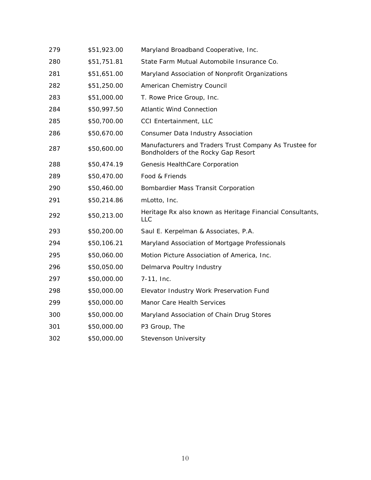| 279 | \$51,923.00 | Maryland Broadband Cooperative, Inc.                                                          |
|-----|-------------|-----------------------------------------------------------------------------------------------|
| 280 | \$51,751.81 | State Farm Mutual Automobile Insurance Co.                                                    |
| 281 | \$51,651.00 | Maryland Association of Nonprofit Organizations                                               |
| 282 | \$51,250.00 | American Chemistry Council                                                                    |
| 283 | \$51,000.00 | T. Rowe Price Group, Inc.                                                                     |
| 284 | \$50,997.50 | <b>Atlantic Wind Connection</b>                                                               |
| 285 | \$50,700.00 | CCI Entertainment, LLC                                                                        |
| 286 | \$50,670.00 | Consumer Data Industry Association                                                            |
| 287 | \$50,600.00 | Manufacturers and Traders Trust Company As Trustee for<br>Bondholders of the Rocky Gap Resort |
| 288 | \$50,474.19 | Genesis HealthCare Corporation                                                                |
| 289 | \$50,470.00 | Food & Friends                                                                                |
| 290 | \$50,460.00 | Bombardier Mass Transit Corporation                                                           |
| 291 | \$50,214.86 | mLotto, Inc.                                                                                  |
| 292 | \$50,213.00 | Heritage Rx also known as Heritage Financial Consultants,<br>LLC                              |
| 293 | \$50,200.00 | Saul E. Kerpelman & Associates, P.A.                                                          |
| 294 | \$50,106.21 | Maryland Association of Mortgage Professionals                                                |
| 295 | \$50,060.00 | Motion Picture Association of America, Inc.                                                   |
| 296 | \$50,050.00 | Delmarva Poultry Industry                                                                     |
| 297 | \$50,000.00 | 7-11, Inc.                                                                                    |
| 298 | \$50,000.00 | Elevator Industry Work Preservation Fund                                                      |
| 299 | \$50,000.00 | Manor Care Health Services                                                                    |
| 300 | \$50,000.00 | Maryland Association of Chain Drug Stores                                                     |
| 301 | \$50,000.00 | P3 Group, The                                                                                 |
| 302 | \$50,000.00 | <b>Stevenson University</b>                                                                   |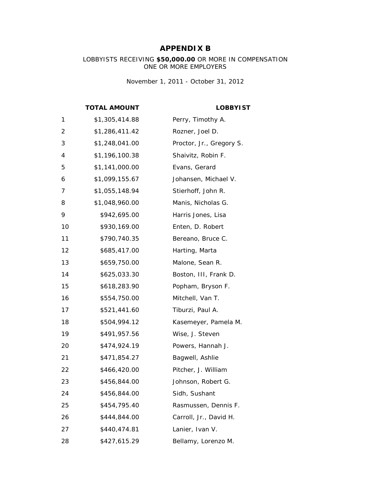## **APPENDIX B**

#### LOBBYISTS RECEIVING **\$50,000.00** OR MORE IN COMPENSATION ONE OR MORE EMPLOYERS

*November 1, 2011 - October 31, 2012*

**TOTAL AMOUNT LOBBYIST**

| 1              | \$1,305,414.88 | Perry, Timothy A.        |
|----------------|----------------|--------------------------|
| $\overline{c}$ | \$1,286,411.42 | Rozner, Joel D.          |
| 3              | \$1,248,041.00 | Proctor, Jr., Gregory S. |
| 4              | \$1,196,100.38 | Shaivitz, Robin F.       |
| 5              | \$1,141,000.00 | Evans, Gerard            |
| 6              | \$1,099,155.67 | Johansen, Michael V.     |
| 7              | \$1,055,148.94 | Stierhoff, John R.       |
| 8              | \$1,048,960.00 | Manis, Nicholas G.       |
| 9              | \$942,695.00   | Harris Jones, Lisa       |
| 10             | \$930,169.00   | Enten, D. Robert         |
| 11             | \$790,740.35   | Bereano, Bruce C.        |
| 12             | \$685,417.00   | Harting, Marta           |
| 13             | \$659,750.00   | Malone, Sean R.          |
| 14             | \$625,033.30   | Boston, III, Frank D.    |
| 15             | \$618,283.90   | Popham, Bryson F.        |
| 16             | \$554,750.00   | Mitchell, Van T.         |
| 17             | \$521,441.60   | Tiburzi, Paul A.         |
| 18             | \$504,994.12   | Kasemeyer, Pamela M.     |
| 19             | \$491,957.56   | Wise, J. Steven          |
| 20             | \$474,924.19   | Powers, Hannah J.        |
| 21             | \$471,854.27   | Bagwell, Ashlie          |
| 22             | \$466,420.00   | Pitcher, J. William      |
| 23             | \$456,844.00   | Johnson, Robert G.       |
| 24             | \$456,844.00   | Sidh, Sushant            |
| 25             | \$454,795.40   | Rasmussen, Dennis F.     |
| 26             | \$444,844.00   | Carroll, Jr., David H.   |
| 27             | \$440,474.81   | Lanier, Ivan V.          |
| 28             | \$427,615.29   | Bellamy, Lorenzo M.      |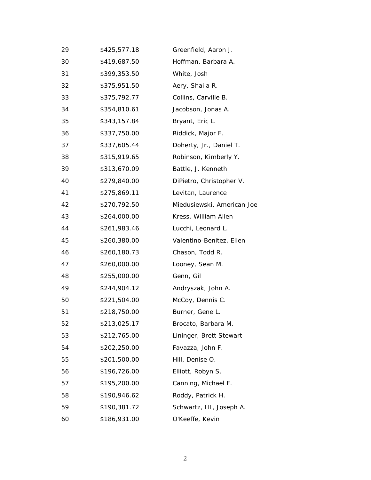| 29 | \$425,577.18 | Greenfield, Aaron J.       |
|----|--------------|----------------------------|
| 30 | \$419,687.50 | Hoffman, Barbara A.        |
| 31 | \$399,353.50 | White, Josh                |
| 32 | \$375,951.50 | Aery, Shaila R.            |
| 33 | \$375,792.77 | Collins, Carville B.       |
| 34 | \$354,810.61 | Jacobson, Jonas A.         |
| 35 | \$343,157.84 | Bryant, Eric L.            |
| 36 | \$337,750.00 | Riddick, Major F.          |
| 37 | \$337,605.44 | Doherty, Jr., Daniel T.    |
| 38 | \$315,919.65 | Robinson, Kimberly Y.      |
| 39 | \$313,670.09 | Battle, J. Kenneth         |
| 40 | \$279,840.00 | DiPietro, Christopher V.   |
| 41 | \$275,869.11 | Levitan, Laurence          |
| 42 | \$270,792.50 | Miedusiewski, American Joe |
| 43 | \$264,000.00 | Kress, William Allen       |
| 44 | \$261,983.46 | Lucchi, Leonard L.         |
| 45 | \$260,380.00 | Valentino-Benitez, Ellen   |
| 46 | \$260,180.73 | Chason, Todd R.            |
| 47 | \$260,000.00 | Looney, Sean M.            |
| 48 | \$255,000.00 | Genn, Gil                  |
| 49 | \$244,904.12 | Andryszak, John A.         |
| 50 | \$221,504.00 | McCoy, Dennis C.           |
| 51 | \$218,750.00 | Burner, Gene L.            |
| 52 | \$213,025.17 | Brocato, Barbara M.        |
| 53 | \$212,765.00 | Lininger, Brett Stewart    |
| 54 | \$202,250.00 | Favazza, John F.           |
| 55 | \$201,500.00 | Hill, Denise O.            |
| 56 | \$196,726.00 | Elliott, Robyn S.          |
| 57 | \$195,200.00 | Canning, Michael F.        |
| 58 | \$190,946.62 | Roddy, Patrick H.          |
| 59 | \$190,381.72 | Schwartz, III, Joseph A.   |
| 60 | \$186,931.00 | O'Keeffe, Kevin            |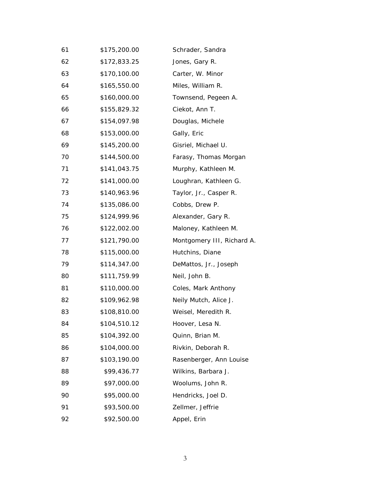| 61 | \$175,200.00 | Schrader, Sandra           |
|----|--------------|----------------------------|
| 62 | \$172,833.25 | Jones, Gary R.             |
| 63 | \$170,100.00 | Carter, W. Minor           |
| 64 | \$165,550.00 | Miles, William R.          |
| 65 | \$160,000.00 | Townsend, Pegeen A.        |
| 66 | \$155,829.32 | Ciekot, Ann T.             |
| 67 | \$154,097.98 | Douglas, Michele           |
| 68 | \$153,000.00 | Gally, Eric                |
| 69 | \$145,200.00 | Gisriel, Michael U.        |
| 70 | \$144,500.00 | Farasy, Thomas Morgan      |
| 71 | \$141,043.75 | Murphy, Kathleen M.        |
| 72 | \$141,000.00 | Loughran, Kathleen G.      |
| 73 | \$140,963.96 | Taylor, Jr., Casper R.     |
| 74 | \$135,086.00 | Cobbs, Drew P.             |
| 75 | \$124,999.96 | Alexander, Gary R.         |
| 76 | \$122,002.00 | Maloney, Kathleen M.       |
| 77 | \$121,790.00 | Montgomery III, Richard A. |
| 78 | \$115,000.00 | Hutchins, Diane            |
| 79 | \$114,347.00 | DeMattos, Jr., Joseph      |
| 80 | \$111,759.99 | Neil, John B.              |
| 81 | \$110,000.00 | Coles, Mark Anthony        |
| 82 | \$109,962.98 | Neily Mutch, Alice J.      |
| 83 | \$108,810.00 | Weisel, Meredith R.        |
| 84 | \$104,510.12 | Hoover, Lesa N.            |
| 85 | \$104,392.00 | Quinn, Brian M.            |
| 86 | \$104,000.00 | Rivkin, Deborah R.         |
| 87 | \$103,190.00 | Rasenberger, Ann Louise    |
| 88 | \$99,436.77  | Wilkins, Barbara J.        |
| 89 | \$97,000.00  | Woolums, John R.           |
| 90 | \$95,000.00  | Hendricks, Joel D.         |
| 91 | \$93,500.00  | Zellmer, Jeffrie           |
| 92 | \$92,500.00  | Appel, Erin                |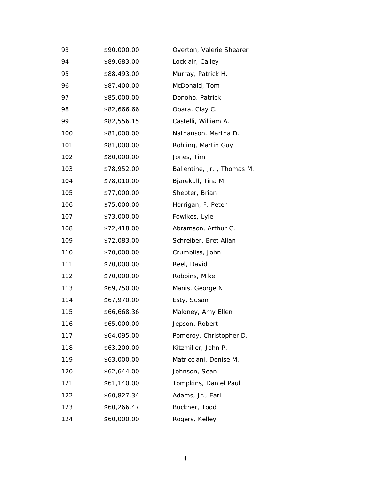| 93  | \$90,000.00 | Overton, Valerie Shearer   |
|-----|-------------|----------------------------|
| 94  | \$89,683.00 | Locklair, Cailey           |
| 95  | \$88,493.00 | Murray, Patrick H.         |
| 96  | \$87,400.00 | McDonald, Tom              |
| 97  | \$85,000.00 | Donoho, Patrick            |
| 98  | \$82,666.66 | Opara, Clay C.             |
| 99  | \$82,556.15 | Castelli, William A.       |
| 100 | \$81,000.00 | Nathanson, Martha D.       |
| 101 | \$81,000.00 | Rohling, Martin Guy        |
| 102 | \$80,000.00 | Jones, Tim T.              |
| 103 | \$78,952.00 | Ballentine, Jr., Thomas M. |
| 104 | \$78,010.00 | Bjarekull, Tina M.         |
| 105 | \$77,000.00 | Shepter, Brian             |
| 106 | \$75,000.00 | Horrigan, F. Peter         |
| 107 | \$73,000.00 | Fowlkes, Lyle              |
| 108 | \$72,418.00 | Abramson, Arthur C.        |
| 109 | \$72,083.00 | Schreiber, Bret Allan      |
| 110 | \$70,000.00 | Crumbliss, John            |
| 111 | \$70,000.00 | Reel, David                |
| 112 | \$70,000.00 | Robbins, Mike              |
| 113 | \$69,750.00 | Manis, George N.           |
| 114 | \$67,970.00 | Esty, Susan                |
| 115 | \$66,668.36 | Maloney, Amy Ellen         |
| 116 | \$65,000.00 | Jepson, Robert             |
| 117 | \$64,095.00 | Pomeroy, Christopher D.    |
| 118 | \$63,200.00 | Kitzmiller, John P.        |
| 119 | \$63,000.00 | Matricciani, Denise M.     |
| 120 | \$62,644.00 | Johnson, Sean              |
| 121 | \$61,140.00 | Tompkins, Daniel Paul      |
| 122 | \$60,827.34 | Adams, Jr., Earl           |
| 123 | \$60,266.47 | Buckner, Todd              |
| 124 | \$60,000.00 | Rogers, Kelley             |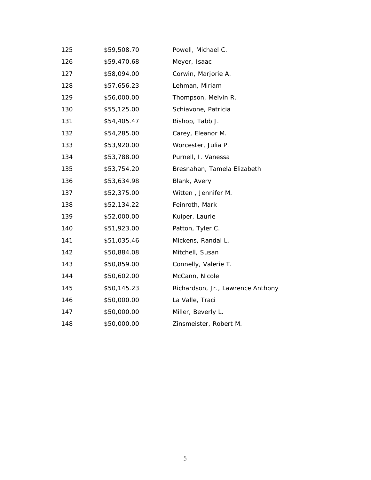| 125 | \$59,508.70 | Powell, Michael C.                |
|-----|-------------|-----------------------------------|
| 126 | \$59,470.68 | Meyer, Isaac                      |
| 127 | \$58,094.00 | Corwin, Marjorie A.               |
| 128 | \$57,656.23 | Lehman, Miriam                    |
| 129 | \$56,000.00 | Thompson, Melvin R.               |
| 130 | \$55,125.00 | Schiavone, Patricia               |
| 131 | \$54,405.47 | Bishop, Tabb J.                   |
| 132 | \$54,285.00 | Carey, Eleanor M.                 |
| 133 | \$53,920.00 | Worcester, Julia P.               |
| 134 | \$53,788.00 | Purnell, I. Vanessa               |
| 135 | \$53,754.20 | Bresnahan, Tamela Elizabeth       |
| 136 | \$53,634.98 | Blank, Avery                      |
| 137 | \$52,375.00 | Witten, Jennifer M.               |
| 138 | \$52,134.22 | Feinroth, Mark                    |
| 139 | \$52,000.00 | Kuiper, Laurie                    |
| 140 | \$51,923.00 | Patton, Tyler C.                  |
| 141 | \$51,035.46 | Mickens, Randal L.                |
| 142 | \$50,884.08 | Mitchell, Susan                   |
| 143 | \$50,859.00 | Connelly, Valerie T.              |
| 144 | \$50,602.00 | McCann, Nicole                    |
| 145 | \$50,145.23 | Richardson, Jr., Lawrence Anthony |
| 146 | \$50,000.00 | La Valle, Traci                   |
| 147 | \$50,000.00 | Miller, Beverly L.                |
| 148 | \$50,000.00 | Zinsmeister, Robert M.            |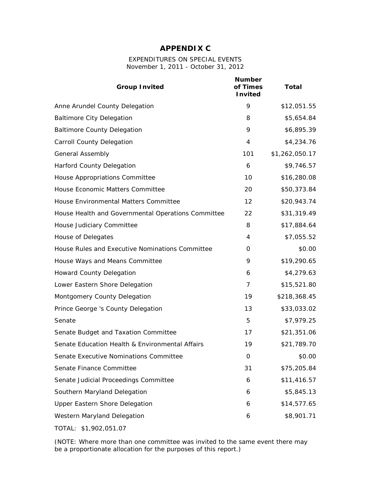## **APPENDIX C**

#### EXPENDITURES ON SPECIAL EVENTS *November 1, 2011 - October 31, 2012*

| <b>Group Invited</b>                               | <b>Number</b><br>of Times<br><b>Invited</b> | <b>Total</b>   |
|----------------------------------------------------|---------------------------------------------|----------------|
| Anne Arundel County Delegation                     | 9                                           | \$12,051.55    |
| <b>Baltimore City Delegation</b>                   | 8                                           | \$5,654.84     |
| <b>Baltimore County Delegation</b>                 | 9                                           | \$6,895.39     |
| <b>Carroll County Delegation</b>                   | $\overline{4}$                              | \$4,234.76     |
| <b>General Assembly</b>                            | 101                                         | \$1,262,050.17 |
| <b>Harford County Delegation</b>                   | 6                                           | \$9,746.57     |
| House Appropriations Committee                     | 10                                          | \$16,280.08    |
| House Economic Matters Committee                   | 20                                          | \$50,373.84    |
| House Environmental Matters Committee              | 12                                          | \$20,943.74    |
| House Health and Governmental Operations Committee | 22                                          | \$31,319.49    |
| House Judiciary Committee                          | 8                                           | \$17,884.64    |
| House of Delegates                                 | 4                                           | \$7,055.52     |
| House Rules and Executive Nominations Committee    | 0                                           | \$0.00         |
| House Ways and Means Committee                     | 9                                           | \$19,290.65    |
| Howard County Delegation                           | 6                                           | \$4,279.63     |
| Lower Eastern Shore Delegation                     | $\overline{7}$                              | \$15,521.80    |
| Montgomery County Delegation                       | 19                                          | \$218,368.45   |
| Prince George 's County Delegation                 | 13                                          | \$33,033.02    |
| Senate                                             | 5                                           | \$7,979.25     |
| Senate Budget and Taxation Committee               | 17                                          | \$21,351.06    |
| Senate Education Health & Environmental Affairs    | 19                                          | \$21,789.70    |
| Senate Executive Nominations Committee             | 0                                           | \$0.00         |
| Senate Finance Committee                           | 31                                          | \$75,205.84    |
| Senate Judicial Proceedings Committee              | 6                                           | \$11,416.57    |
| Southern Maryland Delegation                       | 6                                           | \$5,845.13     |
| <b>Upper Eastern Shore Delegation</b>              | 6                                           | \$14,577.65    |
| Western Maryland Delegation                        | 6                                           | \$8,901.71     |
| TOTAL: \$1,902,051.07                              |                                             |                |

(NOTE: Where more than one committee was invited to the same event there may be a proportionate allocation for the purposes of this report.)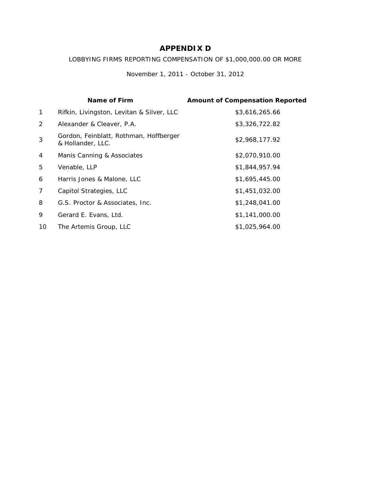# **APPENDIX D**

#### LOBBYING FIRMS REPORTING COMPENSATION OF \$1,000,000.00 OR MORE

*November 1, 2011 - October 31, 2012*

|                | <b>Name of Firm</b>                                         | <b>Amount of Compensation Reported</b> |
|----------------|-------------------------------------------------------------|----------------------------------------|
| $\mathbf{1}$   | Rifkin, Livingston, Levitan & Silver, LLC                   | \$3,616,265.66                         |
| 2              | Alexander & Cleaver, P.A.                                   | \$3,326,722.82                         |
| 3              | Gordon, Feinblatt, Rothman, Hoffberger<br>& Hollander, LLC. | \$2,968,177.92                         |
| 4              | Manis Canning & Associates                                  | \$2,070,910.00                         |
| 5              | Venable, LLP                                                | \$1,844,957.94                         |
| 6              | Harris Jones & Malone, LLC                                  | \$1,695,445.00                         |
| $\overline{7}$ | Capitol Strategies, LLC                                     | \$1,451,032.00                         |
| 8              | G.S. Proctor & Associates, Inc.                             | \$1,248,041.00                         |
| 9              | Gerard E. Evans, Ltd.                                       | \$1,141,000.00                         |
| 10             | The Artemis Group, LLC                                      | \$1,025,964.00                         |
|                |                                                             |                                        |